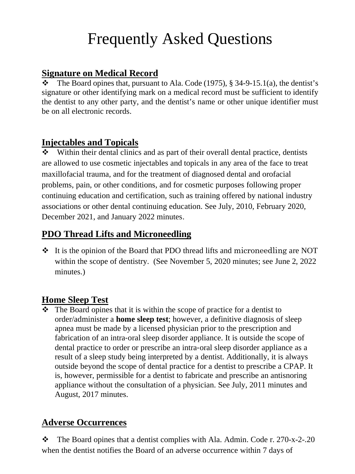# Frequently Asked Questions

#### **Signature on Medical Record**

 $\bullet$  The Board opines that, pursuant to Ala. Code (1975), § 34-9-15.1(a), the dentist's signature or other identifying mark on a medical record must be sufficient to identify the dentist to any other party, and the dentist's name or other unique identifier must be on all electronic records.

#### **Injectables and Topicals**

Within their dental clinics and as part of their overall dental practice, dentists are allowed to use cosmetic injectables and topicals in any area of the face to treat maxillofacial trauma, and for the treatment of diagnosed dental and orofacial problems, pain, or other conditions, and for cosmetic purposes following proper continuing education and certification, such as training offered by national industry associations or other dental continuing education. See July, 2010, February 2020, December 2021, and January 2022 minutes.

## **PDO Thread Lifts and Microneedling**

 It is the opinion of the Board that PDO thread lifts and microneedling are NOT within the scope of dentistry. (See November 5, 2020 minutes; see June 2, 2022 minutes.)

## **Home Sleep Test**

 $\cdot \cdot$  The Board opines that it is within the scope of practice for a dentist to order/administer a **home sleep test**; however, a definitive diagnosis of sleep apnea must be made by a licensed physician prior to the prescription and fabrication of an intra-oral sleep disorder appliance. It is outside the scope of dental practice to order or prescribe an intra‐oral sleep disorder appliance as a result of a sleep study being interpreted by a dentist. Additionally, it is always outside beyond the scope of dental practice for a dentist to prescribe a CPAP. It is, however, permissible for a dentist to fabricate and prescribe an antisnoring appliance without the consultation of a physician. See July, 2011 minutes and August, 2017 minutes.

## **Adverse Occurrences**

 $\cdot \cdot$  The Board opines that a dentist complies with Ala. Admin. Code r. 270-x-2-.20 when the dentist notifies the Board of an adverse occurrence within 7 days of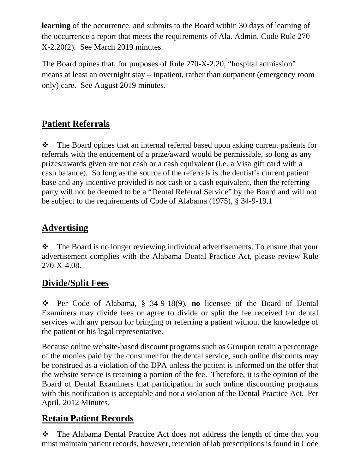**learning** of the occurrence, and submits to the Board within 30 days of learning of the occurrence a report that meets the requirements of Ala. Admin. Code Rule 270- X-2.20(2). See March 2019 minutes.

The Board opines that, for purposes of Rule 270-X-2.20, "hospital admission" means at least an overnight stay – inpatient, rather than outpatient (emergency room only) care. See August 2019 minutes.

## **Patient Referrals**

• The Board opines that an internal referral based upon asking current patients for referrals with the enticement of a prize/award would be permissible, so long as any prizes/awards given are not cash or a cash equivalent (i.e. a Visa gift card with a cash balance). So long as the source of the referrals is the dentist's current patient base and any incentive provided is not cash or a cash equivalent, then the referring party will not be deemed to be a "Dental Referral Service" by the Board and will not be subject to the requirements of Code of Alabama (1975), § 34-9-19.1

# **Advertising**

• The Board is no longer reviewing individual advertisements. To ensure that your advertisement complies with the Alabama Dental Practice Act, please review Rule 270-X-4.08.

# **Divide/Split Fees**

 Per Code of Alabama, § 34-9-18(9), **no** licensee of the Board of Dental Examiners may divide fees or agree to divide or split the fee received for dental services with any person for bringing or referring a patient without the knowledge of the patient or his legal representative.

Because online website-based discount programs such as Groupon retain a percentage of the monies paid by the consumer for the dental service, such online discounts may be construed as a violation of the DPA unless the patient is informed on the offer that the website service is retaining a portion of the fee. Therefore, it is the opinion of the Board of Dental Examiners that participation in such online discounting programs with this notification is acceptable and not a violation of the Dental Practice Act. Per April, 2012 Minutes.

# **Retain Patient Records**

\* The Alabama Dental Practice Act does not address the length of time that you must maintain patient records, however, retention of lab prescriptions is found in Code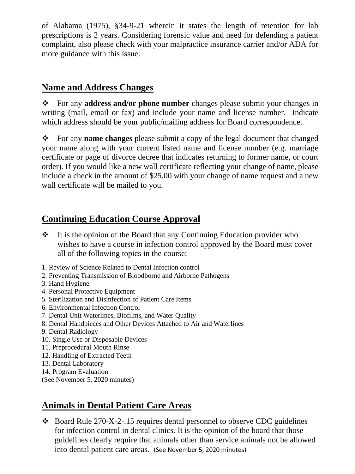of Alabama (1975), §34-9-21 wherein it states the length of retention for lab prescriptions is 2 years. Considering forensic value and need for defending a patient complaint, also please check with your malpractice insurance carrier and/or ADA for more guidance with this issue.

## **Name and Address Changes**

 For any **address and/or phone number** changes please submit your changes in writing (mail, email or fax) and include your name and license number. Indicate which address should be your public/mailing address for Board correspondence.

 For any **name changes** please submit a copy of the legal document that changed your name along with your current listed name and license number (e.g. marriage certificate or page of divorce decree that indicates returning to former name, or court order). If you would like a new wall certificate reflecting your change of name, please include a check in the amount of \$25.00 with your change of name request and a new wall certificate will be mailed to you.

## **Continuing Education Course Approval**

- $\cdot \cdot$  It is the opinion of the Board that any Continuing Education provider who wishes to have a course in infection control approved by the Board must cover all of the following topics in the course:
- 1. Review of Science Related to Dental Infection control
- 2. Preventing Transmission of Bloodborne and Airborne Pathogens
- 3. Hand Hygiene
- 4. Personal Protective Equipment
- 5. Sterilization and Disinfection of Patient Care Items
- 6. Environmental Infection Control
- 7. Dental Unit Waterlines, Biofilms, and Water Quality
- 8. Dental Handpieces and Other Devices Attached to Air and Waterlines
- 9. Dental Radiology
- 10. Single Use or Disposable Devices
- 11. Preprocedural Mouth Rinse
- 12. Handling of Extracted Teeth
- 13. Dental Laboratory
- 14. Program Evaluation
- (See November 5, 2020 minutes)

## **Animals in Dental Patient Care Areas**

 $\bullet$  Board Rule 270-X-2-.15 requires dental personnel to observe CDC guidelines for infection control in dental clinics. It is the opinion of the board that those guidelines clearly require that animals other than service animals not be allowed into dental patient care areas. (See November 5, 2020 minutes)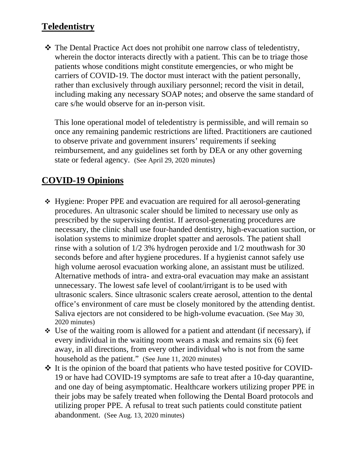## **Teledentistry**

\* The Dental Practice Act does not prohibit one narrow class of teledentistry, wherein the doctor interacts directly with a patient. This can be to triage those patients whose conditions might constitute emergencies, or who might be carriers of COVID-19. The doctor must interact with the patient personally, rather than exclusively through auxiliary personnel; record the visit in detail, including making any necessary SOAP notes; and observe the same standard of care s/he would observe for an in-person visit.

This lone operational model of teledentistry is permissible, and will remain so once any remaining pandemic restrictions are lifted. Practitioners are cautioned to observe private and government insurers' requirements if seeking reimbursement, and any guidelines set forth by DEA or any other governing state or federal agency. (See April 29, 2020 minutes)

## **COVID-19 Opinions**

- Hygiene: Proper PPE and evacuation are required for all aerosol-generating procedures. An ultrasonic scaler should be limited to necessary use only as prescribed by the supervising dentist. If aerosol-generating procedures are necessary, the clinic shall use four-handed dentistry, high-evacuation suction, or isolation systems to minimize droplet spatter and aerosols. The patient shall rinse with a solution of 1/2 3% hydrogen peroxide and 1/2 mouthwash for 30 seconds before and after hygiene procedures. If a hygienist cannot safely use high volume aerosol evacuation working alone, an assistant must be utilized. Alternative methods of intra- and extra-oral evacuation may make an assistant unnecessary. The lowest safe level of coolant/irrigant is to be used with ultrasonic scalers. Since ultrasonic scalers create aerosol, attention to the dental office's environment of care must be closely monitored by the attending dentist. Saliva ejectors are not considered to be high-volume evacuation. (See May 30, 2020 minutes)
- $\div$  Use of the waiting room is allowed for a patient and attendant (if necessary), if every individual in the waiting room wears a mask and remains six (6) feet away, in all directions, from every other individual who is not from the same household as the patient." (See June 11, 2020 minutes)
- It is the opinion of the board that patients who have tested positive for COVID-19 or have had COVID-19 symptoms are safe to treat after a 10-day quarantine, and one day of being asymptomatic. Healthcare workers utilizing proper PPE in their jobs may be safely treated when following the Dental Board protocols and utilizing proper PPE. A refusal to treat such patients could constitute patient abandonment. (See Aug. 13, 2020 minutes)